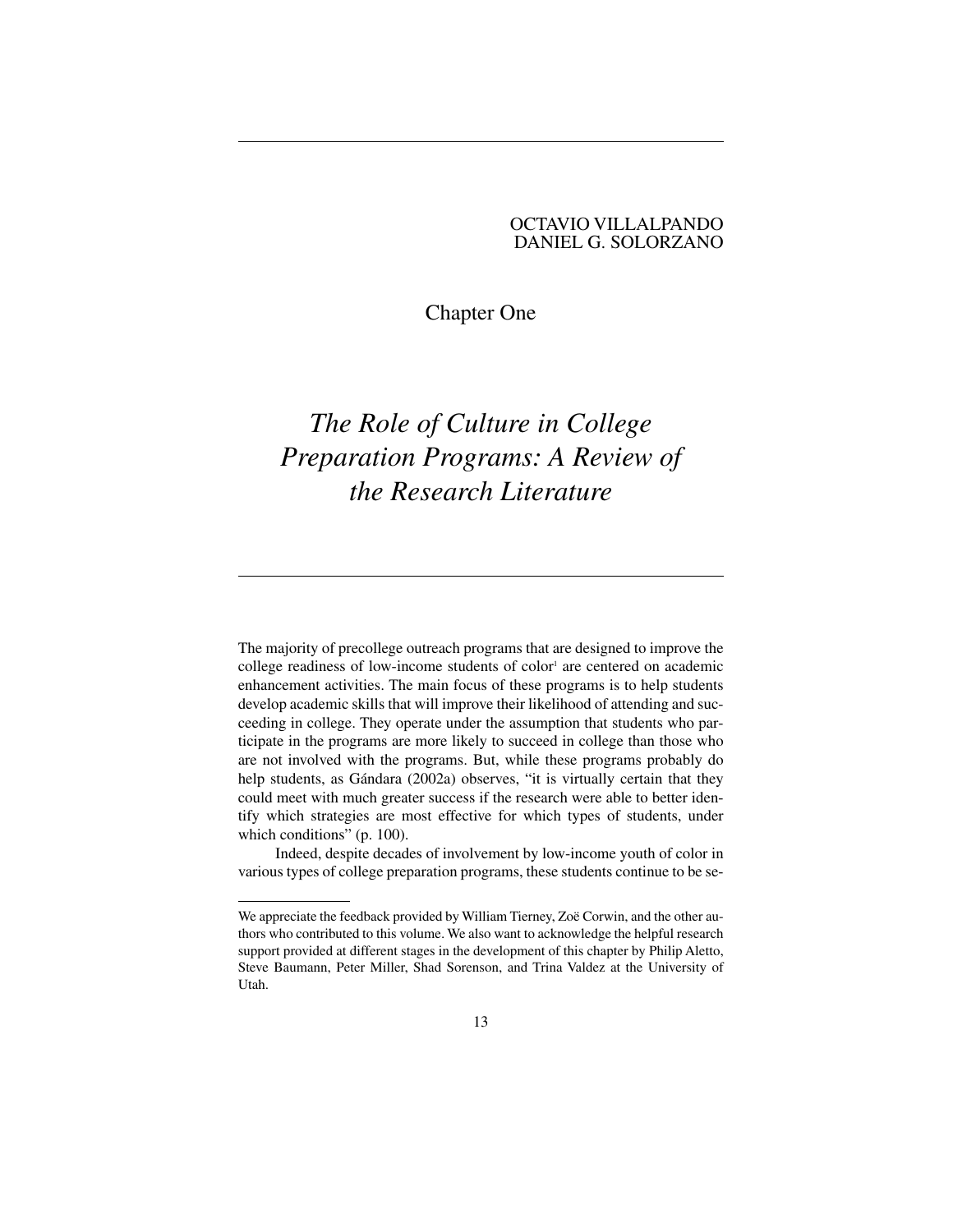# OCTAVIO VILLALPANDO DANIEL G. SOLORZANO

# Chapter One

# *The Role of Culture in College Preparation Programs: A Review of the Research Literature*

The majority of precollege outreach programs that are designed to improve the college readiness of low-income students of color<sup>1</sup> are centered on academic enhancement activities. The main focus of these programs is to help students develop academic skills that will improve their likelihood of attending and succeeding in college. They operate under the assumption that students who participate in the programs are more likely to succeed in college than those who are not involved with the programs. But, while these programs probably do help students, as Gándara (2002a) observes, "it is virtually certain that they could meet with much greater success if the research were able to better identify which strategies are most effective for which types of students, under which conditions" (p. 100).

Indeed, despite decades of involvement by low-income youth of color in various types of college preparation programs, these students continue to be se-

We appreciate the feedback provided by William Tierney, Zoë Corwin, and the other authors who contributed to this volume. We also want to acknowledge the helpful research support provided at different stages in the development of this chapter by Philip Aletto, Steve Baumann, Peter Miller, Shad Sorenson, and Trina Valdez at the University of Utah.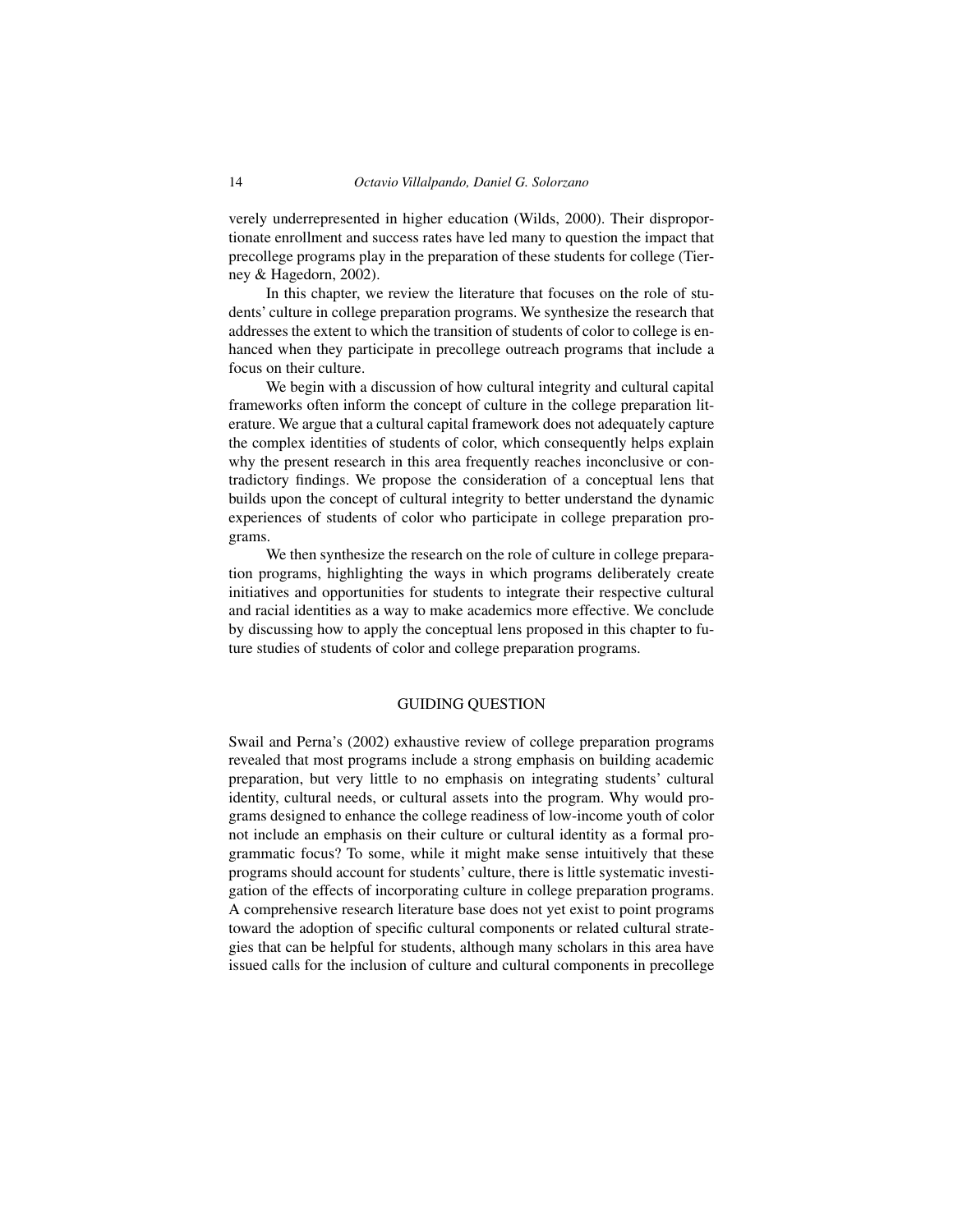verely underrepresented in higher education (Wilds, 2000). Their disproportionate enrollment and success rates have led many to question the impact that precollege programs play in the preparation of these students for college (Tierney & Hagedorn, 2002).

In this chapter, we review the literature that focuses on the role of students' culture in college preparation programs. We synthesize the research that addresses the extent to which the transition of students of color to college is enhanced when they participate in precollege outreach programs that include a focus on their culture.

We begin with a discussion of how cultural integrity and cultural capital frameworks often inform the concept of culture in the college preparation literature. We argue that a cultural capital framework does not adequately capture the complex identities of students of color, which consequently helps explain why the present research in this area frequently reaches inconclusive or contradictory findings. We propose the consideration of a conceptual lens that builds upon the concept of cultural integrity to better understand the dynamic experiences of students of color who participate in college preparation programs.

We then synthesize the research on the role of culture in college preparation programs, highlighting the ways in which programs deliberately create initiatives and opportunities for students to integrate their respective cultural and racial identities as a way to make academics more effective. We conclude by discussing how to apply the conceptual lens proposed in this chapter to future studies of students of color and college preparation programs.

#### GUIDING QUESTION

Swail and Perna's (2002) exhaustive review of college preparation programs revealed that most programs include a strong emphasis on building academic preparation, but very little to no emphasis on integrating students' cultural identity, cultural needs, or cultural assets into the program. Why would programs designed to enhance the college readiness of low-income youth of color not include an emphasis on their culture or cultural identity as a formal programmatic focus? To some, while it might make sense intuitively that these programs should account for students' culture, there is little systematic investigation of the effects of incorporating culture in college preparation programs. A comprehensive research literature base does not yet exist to point programs toward the adoption of specific cultural components or related cultural strategies that can be helpful for students, although many scholars in this area have issued calls for the inclusion of culture and cultural components in precollege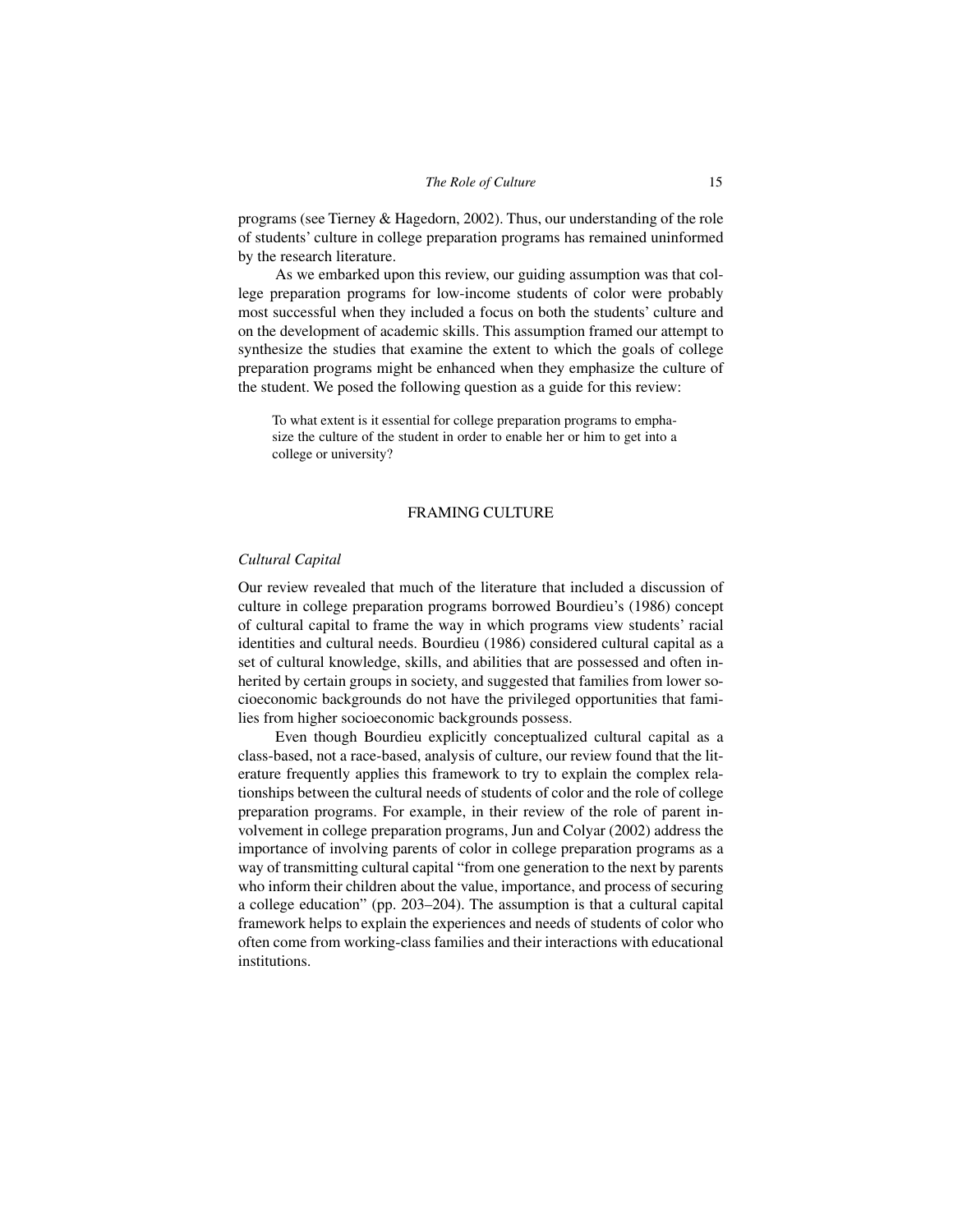programs (see Tierney & Hagedorn, 2002). Thus, our understanding of the role of students' culture in college preparation programs has remained uninformed by the research literature.

As we embarked upon this review, our guiding assumption was that college preparation programs for low-income students of color were probably most successful when they included a focus on both the students' culture and on the development of academic skills. This assumption framed our attempt to synthesize the studies that examine the extent to which the goals of college preparation programs might be enhanced when they emphasize the culture of the student. We posed the following question as a guide for this review:

To what extent is it essential for college preparation programs to emphasize the culture of the student in order to enable her or him to get into a college or university?

#### FRAMING CULTURE

#### *Cultural Capital*

Our review revealed that much of the literature that included a discussion of culture in college preparation programs borrowed Bourdieu's (1986) concept of cultural capital to frame the way in which programs view students' racial identities and cultural needs. Bourdieu (1986) considered cultural capital as a set of cultural knowledge, skills, and abilities that are possessed and often inherited by certain groups in society, and suggested that families from lower socioeconomic backgrounds do not have the privileged opportunities that families from higher socioeconomic backgrounds possess.

Even though Bourdieu explicitly conceptualized cultural capital as a class-based, not a race-based, analysis of culture, our review found that the literature frequently applies this framework to try to explain the complex relationships between the cultural needs of students of color and the role of college preparation programs. For example, in their review of the role of parent involvement in college preparation programs, Jun and Colyar (2002) address the importance of involving parents of color in college preparation programs as a way of transmitting cultural capital "from one generation to the next by parents who inform their children about the value, importance, and process of securing a college education" (pp. 203–204). The assumption is that a cultural capital framework helps to explain the experiences and needs of students of color who often come from working-class families and their interactions with educational institutions.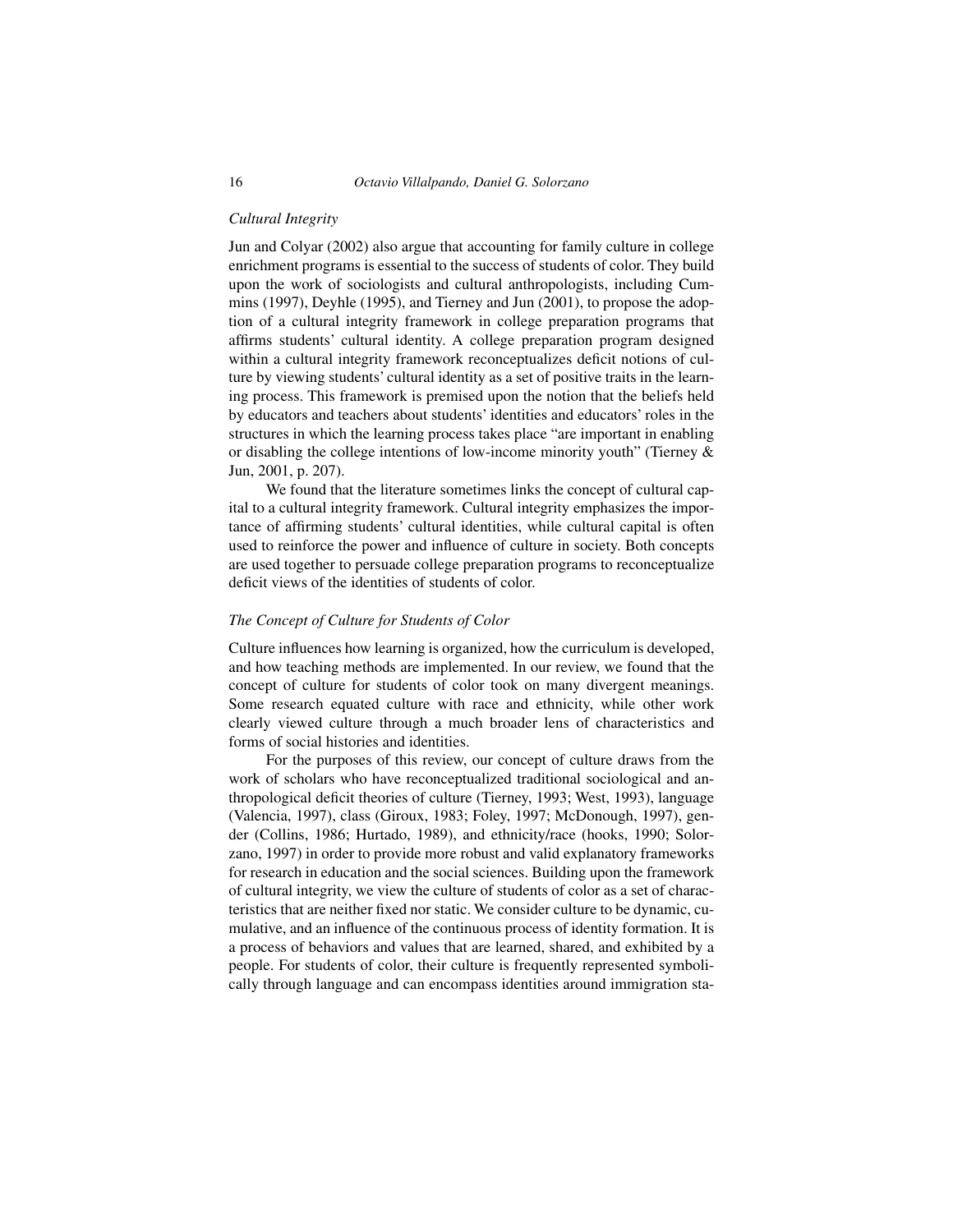#### *Cultural Integrity*

Jun and Colyar (2002) also argue that accounting for family culture in college enrichment programs is essential to the success of students of color. They build upon the work of sociologists and cultural anthropologists, including Cummins (1997), Deyhle (1995), and Tierney and Jun (2001), to propose the adoption of a cultural integrity framework in college preparation programs that affirms students' cultural identity. A college preparation program designed within a cultural integrity framework reconceptualizes deficit notions of culture by viewing students' cultural identity as a set of positive traits in the learning process. This framework is premised upon the notion that the beliefs held by educators and teachers about students' identities and educators' roles in the structures in which the learning process takes place "are important in enabling or disabling the college intentions of low-income minority youth" (Tierney & Jun, 2001, p. 207).

We found that the literature sometimes links the concept of cultural capital to a cultural integrity framework. Cultural integrity emphasizes the importance of affirming students' cultural identities, while cultural capital is often used to reinforce the power and influence of culture in society. Both concepts are used together to persuade college preparation programs to reconceptualize deficit views of the identities of students of color.

#### *The Concept of Culture for Students of Color*

Culture influences how learning is organized, how the curriculum is developed, and how teaching methods are implemented. In our review, we found that the concept of culture for students of color took on many divergent meanings. Some research equated culture with race and ethnicity, while other work clearly viewed culture through a much broader lens of characteristics and forms of social histories and identities.

For the purposes of this review, our concept of culture draws from the work of scholars who have reconceptualized traditional sociological and anthropological deficit theories of culture (Tierney, 1993; West, 1993), language (Valencia, 1997), class (Giroux, 1983; Foley, 1997; McDonough, 1997), gender (Collins, 1986; Hurtado, 1989), and ethnicity/race (hooks, 1990; Solorzano, 1997) in order to provide more robust and valid explanatory frameworks for research in education and the social sciences. Building upon the framework of cultural integrity, we view the culture of students of color as a set of characteristics that are neither fixed nor static. We consider culture to be dynamic, cumulative, and an influence of the continuous process of identity formation. It is a process of behaviors and values that are learned, shared, and exhibited by a people. For students of color, their culture is frequently represented symbolically through language and can encompass identities around immigration sta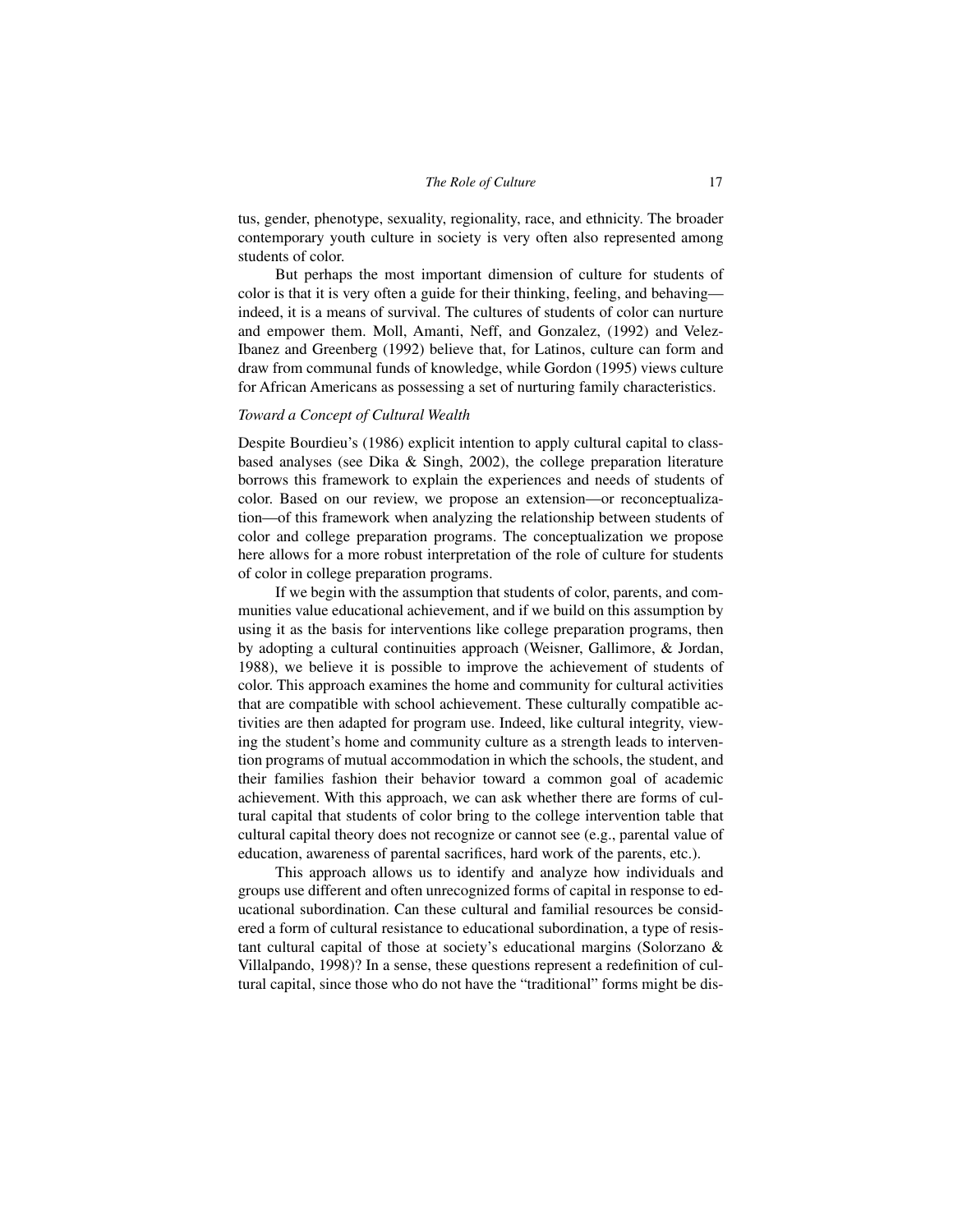tus, gender, phenotype, sexuality, regionality, race, and ethnicity. The broader contemporary youth culture in society is very often also represented among students of color.

But perhaps the most important dimension of culture for students of color is that it is very often a guide for their thinking, feeling, and behaving indeed, it is a means of survival. The cultures of students of color can nurture and empower them. Moll, Amanti, Neff, and Gonzalez, (1992) and Velez-Ibanez and Greenberg (1992) believe that, for Latinos, culture can form and draw from communal funds of knowledge, while Gordon (1995) views culture for African Americans as possessing a set of nurturing family characteristics.

#### *Toward a Concept of Cultural Wealth*

Despite Bourdieu's (1986) explicit intention to apply cultural capital to classbased analyses (see Dika & Singh, 2002), the college preparation literature borrows this framework to explain the experiences and needs of students of color. Based on our review, we propose an extension—or reconceptualization—of this framework when analyzing the relationship between students of color and college preparation programs. The conceptualization we propose here allows for a more robust interpretation of the role of culture for students of color in college preparation programs.

If we begin with the assumption that students of color, parents, and communities value educational achievement, and if we build on this assumption by using it as the basis for interventions like college preparation programs, then by adopting a cultural continuities approach (Weisner, Gallimore, & Jordan, 1988), we believe it is possible to improve the achievement of students of color. This approach examines the home and community for cultural activities that are compatible with school achievement. These culturally compatible activities are then adapted for program use. Indeed, like cultural integrity, viewing the student's home and community culture as a strength leads to intervention programs of mutual accommodation in which the schools, the student, and their families fashion their behavior toward a common goal of academic achievement. With this approach, we can ask whether there are forms of cultural capital that students of color bring to the college intervention table that cultural capital theory does not recognize or cannot see (e.g., parental value of education, awareness of parental sacrifices, hard work of the parents, etc.).

This approach allows us to identify and analyze how individuals and groups use different and often unrecognized forms of capital in response to educational subordination. Can these cultural and familial resources be considered a form of cultural resistance to educational subordination, a type of resistant cultural capital of those at society's educational margins (Solorzano & Villalpando, 1998)? In a sense, these questions represent a redefinition of cultural capital, since those who do not have the "traditional" forms might be dis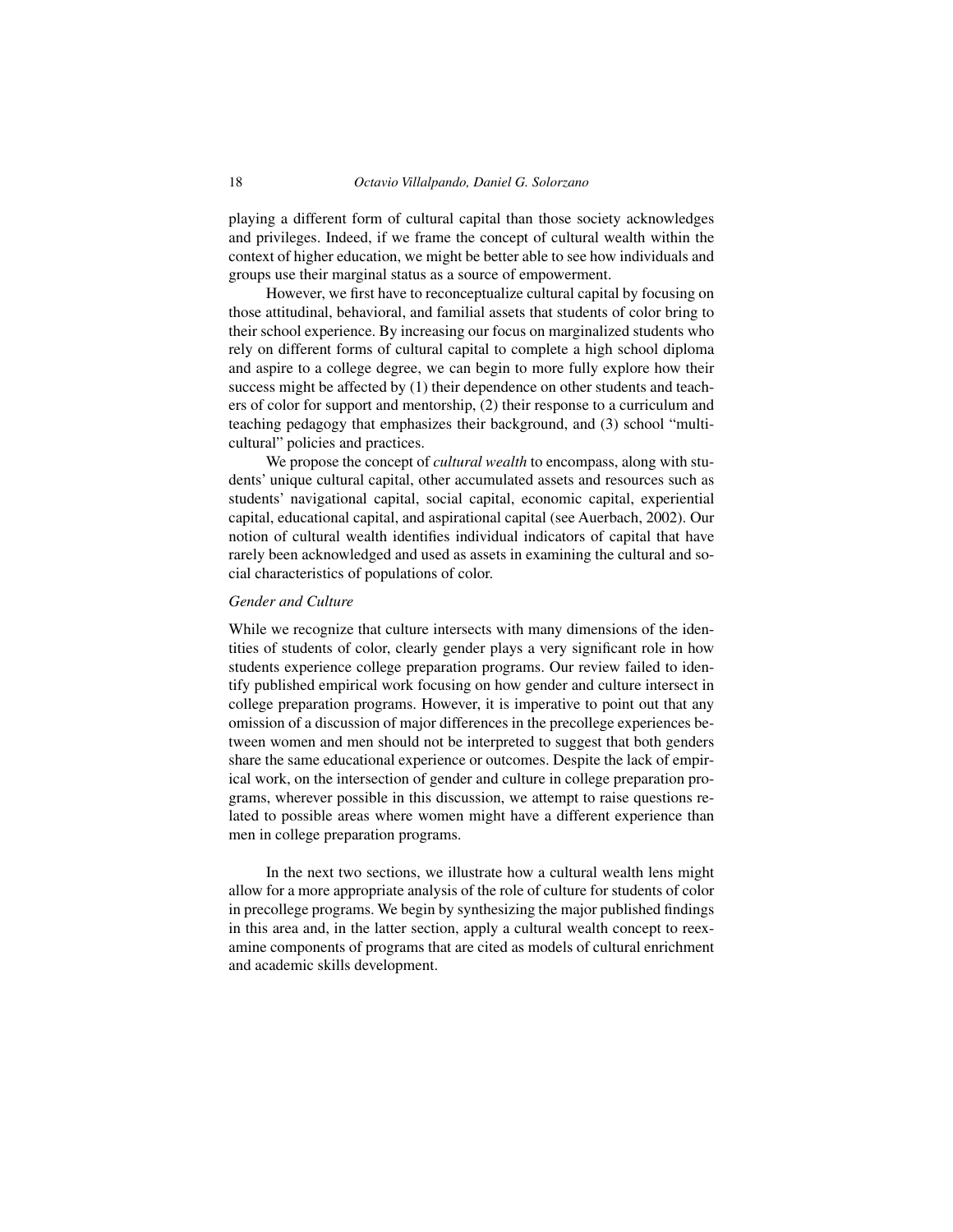playing a different form of cultural capital than those society acknowledges and privileges. Indeed, if we frame the concept of cultural wealth within the context of higher education, we might be better able to see how individuals and groups use their marginal status as a source of empowerment.

However, we first have to reconceptualize cultural capital by focusing on those attitudinal, behavioral, and familial assets that students of color bring to their school experience. By increasing our focus on marginalized students who rely on different forms of cultural capital to complete a high school diploma and aspire to a college degree, we can begin to more fully explore how their success might be affected by (1) their dependence on other students and teachers of color for support and mentorship, (2) their response to a curriculum and teaching pedagogy that emphasizes their background, and (3) school "multicultural" policies and practices.

We propose the concept of *cultural wealth* to encompass, along with students' unique cultural capital, other accumulated assets and resources such as students' navigational capital, social capital, economic capital, experiential capital, educational capital, and aspirational capital (see Auerbach, 2002). Our notion of cultural wealth identifies individual indicators of capital that have rarely been acknowledged and used as assets in examining the cultural and social characteristics of populations of color.

#### *Gender and Culture*

While we recognize that culture intersects with many dimensions of the identities of students of color, clearly gender plays a very significant role in how students experience college preparation programs. Our review failed to identify published empirical work focusing on how gender and culture intersect in college preparation programs. However, it is imperative to point out that any omission of a discussion of major differences in the precollege experiences between women and men should not be interpreted to suggest that both genders share the same educational experience or outcomes. Despite the lack of empirical work, on the intersection of gender and culture in college preparation programs, wherever possible in this discussion, we attempt to raise questions related to possible areas where women might have a different experience than men in college preparation programs.

In the next two sections, we illustrate how a cultural wealth lens might allow for a more appropriate analysis of the role of culture for students of color in precollege programs. We begin by synthesizing the major published findings in this area and, in the latter section, apply a cultural wealth concept to reexamine components of programs that are cited as models of cultural enrichment and academic skills development.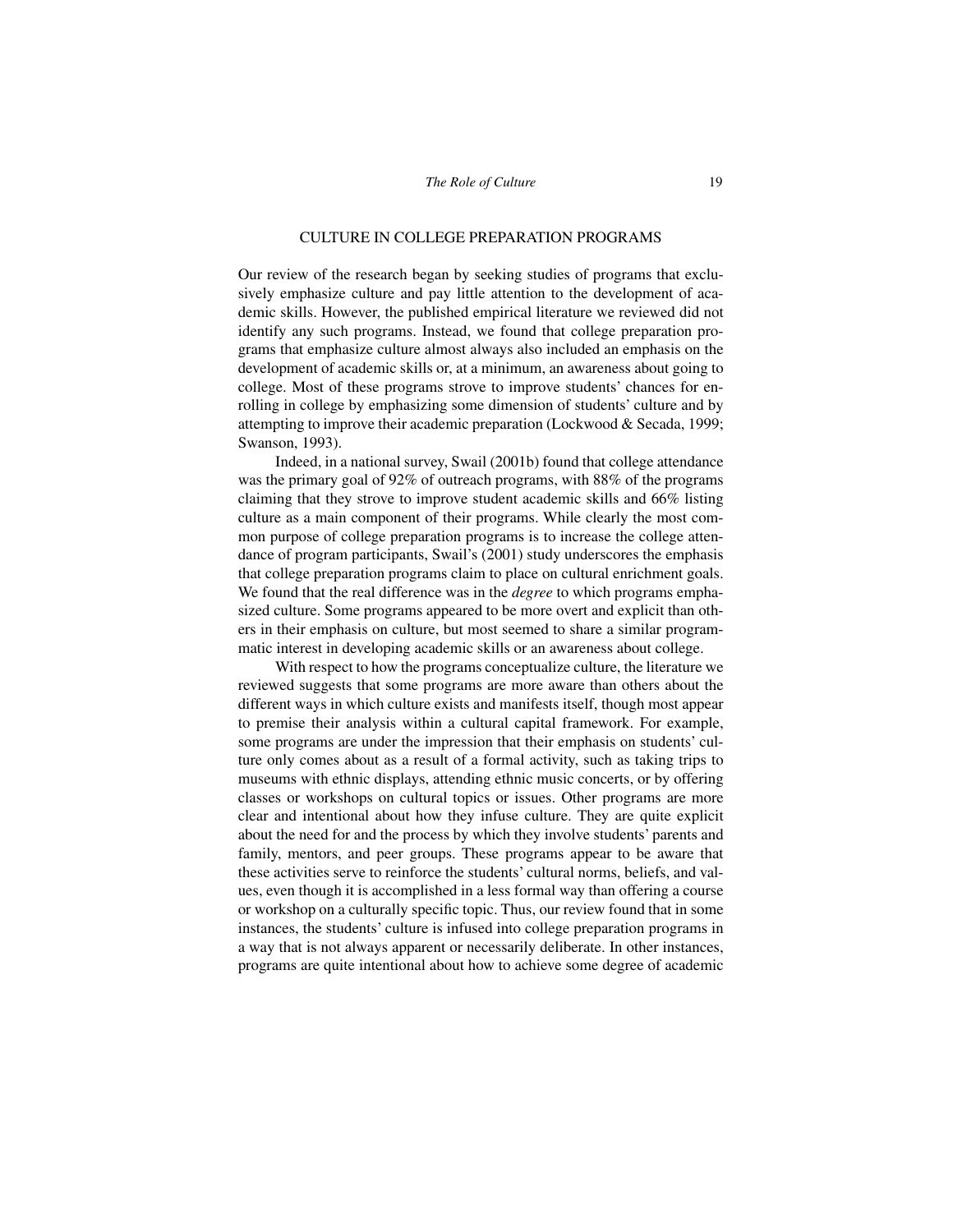#### CULTURE IN COLLEGE PREPARATION PROGRAMS

Our review of the research began by seeking studies of programs that exclusively emphasize culture and pay little attention to the development of academic skills. However, the published empirical literature we reviewed did not identify any such programs. Instead, we found that college preparation programs that emphasize culture almost always also included an emphasis on the development of academic skills or, at a minimum, an awareness about going to college. Most of these programs strove to improve students' chances for enrolling in college by emphasizing some dimension of students' culture and by attempting to improve their academic preparation (Lockwood & Secada, 1999; Swanson, 1993).

Indeed, in a national survey, Swail (2001b) found that college attendance was the primary goal of 92% of outreach programs, with 88% of the programs claiming that they strove to improve student academic skills and 66% listing culture as a main component of their programs. While clearly the most common purpose of college preparation programs is to increase the college attendance of program participants, Swail's (2001) study underscores the emphasis that college preparation programs claim to place on cultural enrichment goals. We found that the real difference was in the *degree* to which programs emphasized culture. Some programs appeared to be more overt and explicit than others in their emphasis on culture, but most seemed to share a similar programmatic interest in developing academic skills or an awareness about college.

With respect to how the programs conceptualize culture, the literature we reviewed suggests that some programs are more aware than others about the different ways in which culture exists and manifests itself, though most appear to premise their analysis within a cultural capital framework. For example, some programs are under the impression that their emphasis on students' culture only comes about as a result of a formal activity, such as taking trips to museums with ethnic displays, attending ethnic music concerts, or by offering classes or workshops on cultural topics or issues. Other programs are more clear and intentional about how they infuse culture. They are quite explicit about the need for and the process by which they involve students' parents and family, mentors, and peer groups. These programs appear to be aware that these activities serve to reinforce the students' cultural norms, beliefs, and values, even though it is accomplished in a less formal way than offering a course or workshop on a culturally specific topic. Thus, our review found that in some instances, the students' culture is infused into college preparation programs in a way that is not always apparent or necessarily deliberate. In other instances, programs are quite intentional about how to achieve some degree of academic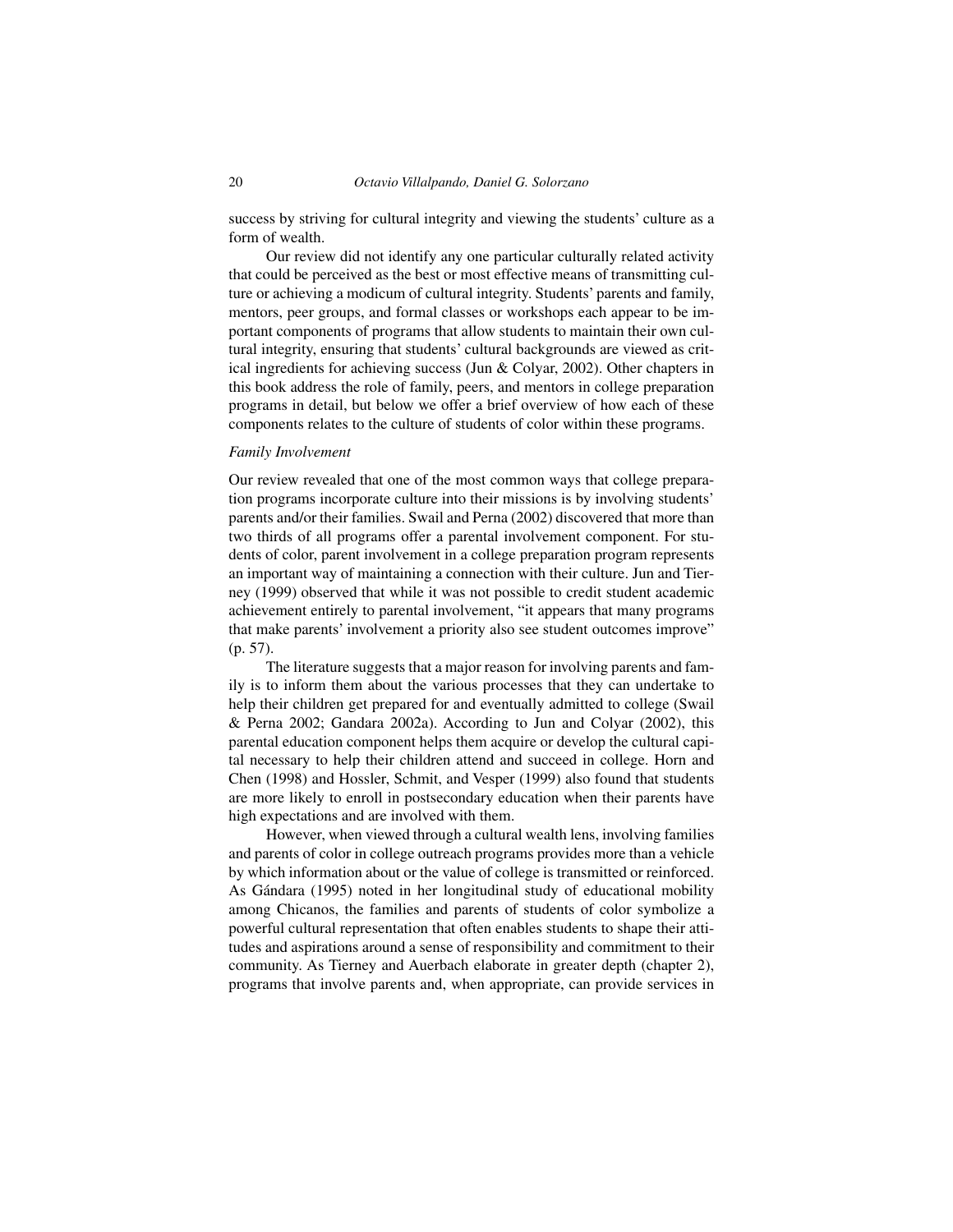success by striving for cultural integrity and viewing the students' culture as a form of wealth.

Our review did not identify any one particular culturally related activity that could be perceived as the best or most effective means of transmitting culture or achieving a modicum of cultural integrity. Students' parents and family, mentors, peer groups, and formal classes or workshops each appear to be important components of programs that allow students to maintain their own cultural integrity, ensuring that students' cultural backgrounds are viewed as critical ingredients for achieving success (Jun & Colyar, 2002). Other chapters in this book address the role of family, peers, and mentors in college preparation programs in detail, but below we offer a brief overview of how each of these components relates to the culture of students of color within these programs.

#### *Family Involvement*

Our review revealed that one of the most common ways that college preparation programs incorporate culture into their missions is by involving students' parents and/or their families. Swail and Perna (2002) discovered that more than two thirds of all programs offer a parental involvement component. For students of color, parent involvement in a college preparation program represents an important way of maintaining a connection with their culture. Jun and Tierney (1999) observed that while it was not possible to credit student academic achievement entirely to parental involvement, "it appears that many programs that make parents' involvement a priority also see student outcomes improve" (p. 57).

The literature suggests that a major reason for involving parents and family is to inform them about the various processes that they can undertake to help their children get prepared for and eventually admitted to college (Swail & Perna 2002; Gandara 2002a). According to Jun and Colyar (2002), this parental education component helps them acquire or develop the cultural capital necessary to help their children attend and succeed in college. Horn and Chen (1998) and Hossler, Schmit, and Vesper (1999) also found that students are more likely to enroll in postsecondary education when their parents have high expectations and are involved with them.

However, when viewed through a cultural wealth lens, involving families and parents of color in college outreach programs provides more than a vehicle by which information about or the value of college is transmitted or reinforced. As Gándara (1995) noted in her longitudinal study of educational mobility among Chicanos, the families and parents of students of color symbolize a powerful cultural representation that often enables students to shape their attitudes and aspirations around a sense of responsibility and commitment to their community. As Tierney and Auerbach elaborate in greater depth (chapter 2), programs that involve parents and, when appropriate, can provide services in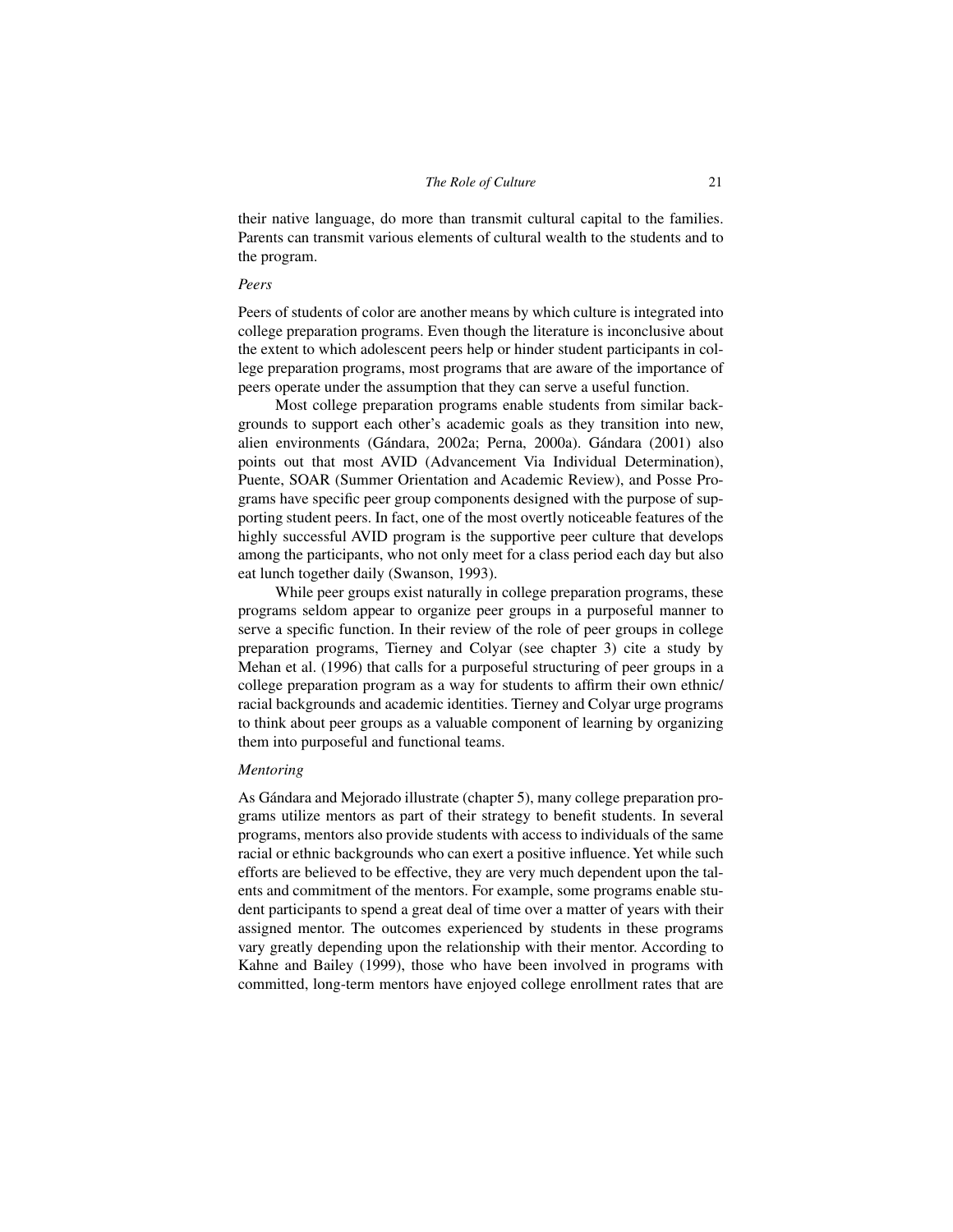their native language, do more than transmit cultural capital to the families. Parents can transmit various elements of cultural wealth to the students and to the program.

#### *Peers*

Peers of students of color are another means by which culture is integrated into college preparation programs. Even though the literature is inconclusive about the extent to which adolescent peers help or hinder student participants in college preparation programs, most programs that are aware of the importance of peers operate under the assumption that they can serve a useful function.

Most college preparation programs enable students from similar backgrounds to support each other's academic goals as they transition into new, alien environments (Gándara, 2002a; Perna, 2000a). Gándara (2001) also points out that most AVID (Advancement Via Individual Determination), Puente, SOAR (Summer Orientation and Academic Review), and Posse Programs have specific peer group components designed with the purpose of supporting student peers. In fact, one of the most overtly noticeable features of the highly successful AVID program is the supportive peer culture that develops among the participants, who not only meet for a class period each day but also eat lunch together daily (Swanson, 1993).

While peer groups exist naturally in college preparation programs, these programs seldom appear to organize peer groups in a purposeful manner to serve a specific function. In their review of the role of peer groups in college preparation programs, Tierney and Colyar (see chapter 3) cite a study by Mehan et al. (1996) that calls for a purposeful structuring of peer groups in a college preparation program as a way for students to affirm their own ethnic/ racial backgrounds and academic identities. Tierney and Colyar urge programs to think about peer groups as a valuable component of learning by organizing them into purposeful and functional teams.

### *Mentoring*

As Gándara and Mejorado illustrate (chapter 5), many college preparation programs utilize mentors as part of their strategy to benefit students. In several programs, mentors also provide students with access to individuals of the same racial or ethnic backgrounds who can exert a positive influence. Yet while such efforts are believed to be effective, they are very much dependent upon the talents and commitment of the mentors. For example, some programs enable student participants to spend a great deal of time over a matter of years with their assigned mentor. The outcomes experienced by students in these programs vary greatly depending upon the relationship with their mentor. According to Kahne and Bailey (1999), those who have been involved in programs with committed, long-term mentors have enjoyed college enrollment rates that are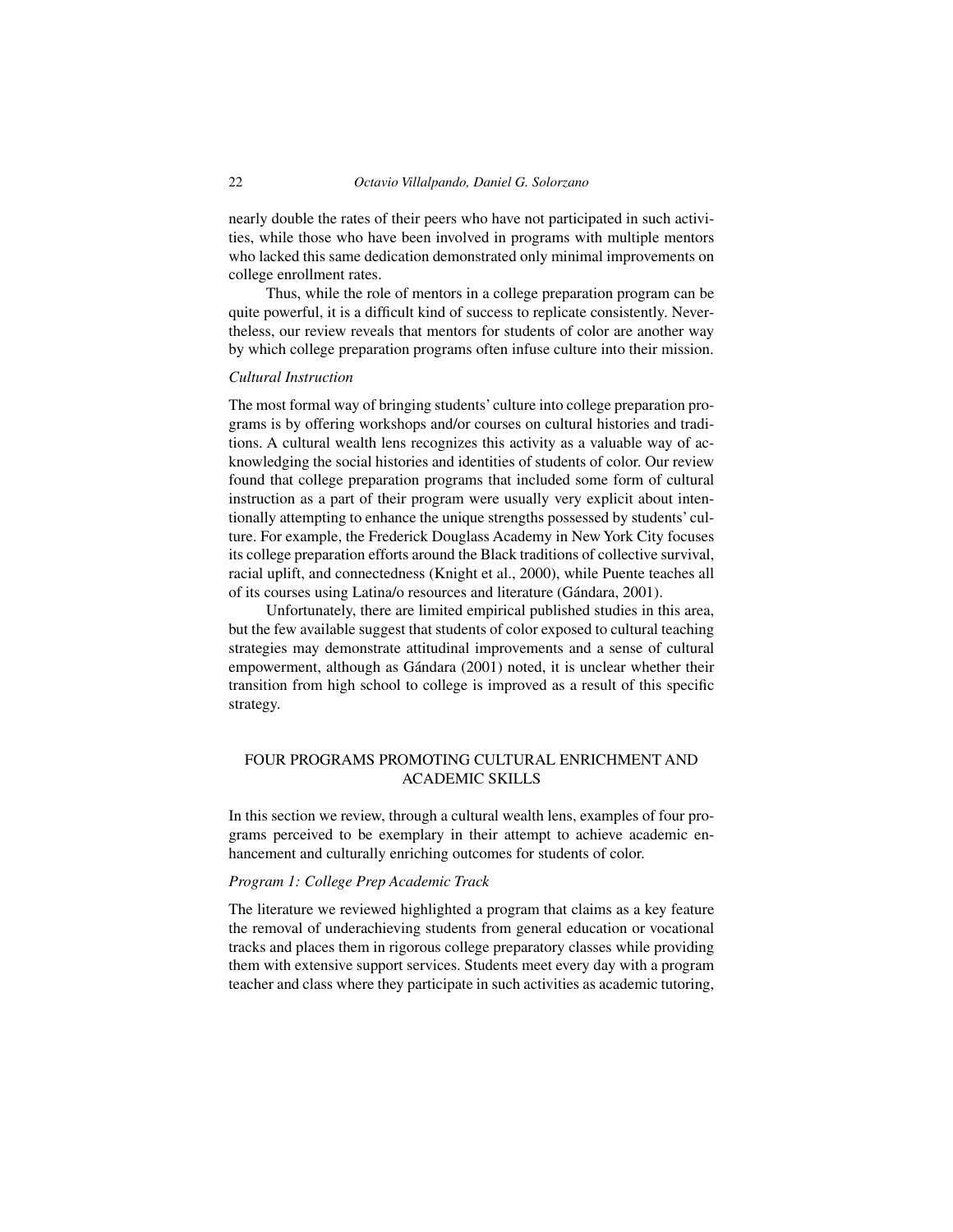nearly double the rates of their peers who have not participated in such activities, while those who have been involved in programs with multiple mentors who lacked this same dedication demonstrated only minimal improvements on college enrollment rates.

Thus, while the role of mentors in a college preparation program can be quite powerful, it is a difficult kind of success to replicate consistently. Nevertheless, our review reveals that mentors for students of color are another way by which college preparation programs often infuse culture into their mission.

#### *Cultural Instruction*

The most formal way of bringing students' culture into college preparation programs is by offering workshops and/or courses on cultural histories and traditions. A cultural wealth lens recognizes this activity as a valuable way of acknowledging the social histories and identities of students of color. Our review found that college preparation programs that included some form of cultural instruction as a part of their program were usually very explicit about intentionally attempting to enhance the unique strengths possessed by students' culture. For example, the Frederick Douglass Academy in New York City focuses its college preparation efforts around the Black traditions of collective survival, racial uplift, and connectedness (Knight et al., 2000), while Puente teaches all of its courses using Latina/o resources and literature (Gándara, 2001).

Unfortunately, there are limited empirical published studies in this area, but the few available suggest that students of color exposed to cultural teaching strategies may demonstrate attitudinal improvements and a sense of cultural empowerment, although as Gándara (2001) noted, it is unclear whether their transition from high school to college is improved as a result of this specific strategy.

# FOUR PROGRAMS PROMOTING CULTURAL ENRICHMENT AND ACADEMIC SKILLS

In this section we review, through a cultural wealth lens, examples of four programs perceived to be exemplary in their attempt to achieve academic enhancement and culturally enriching outcomes for students of color.

#### *Program 1: College Prep Academic Track*

The literature we reviewed highlighted a program that claims as a key feature the removal of underachieving students from general education or vocational tracks and places them in rigorous college preparatory classes while providing them with extensive support services. Students meet every day with a program teacher and class where they participate in such activities as academic tutoring,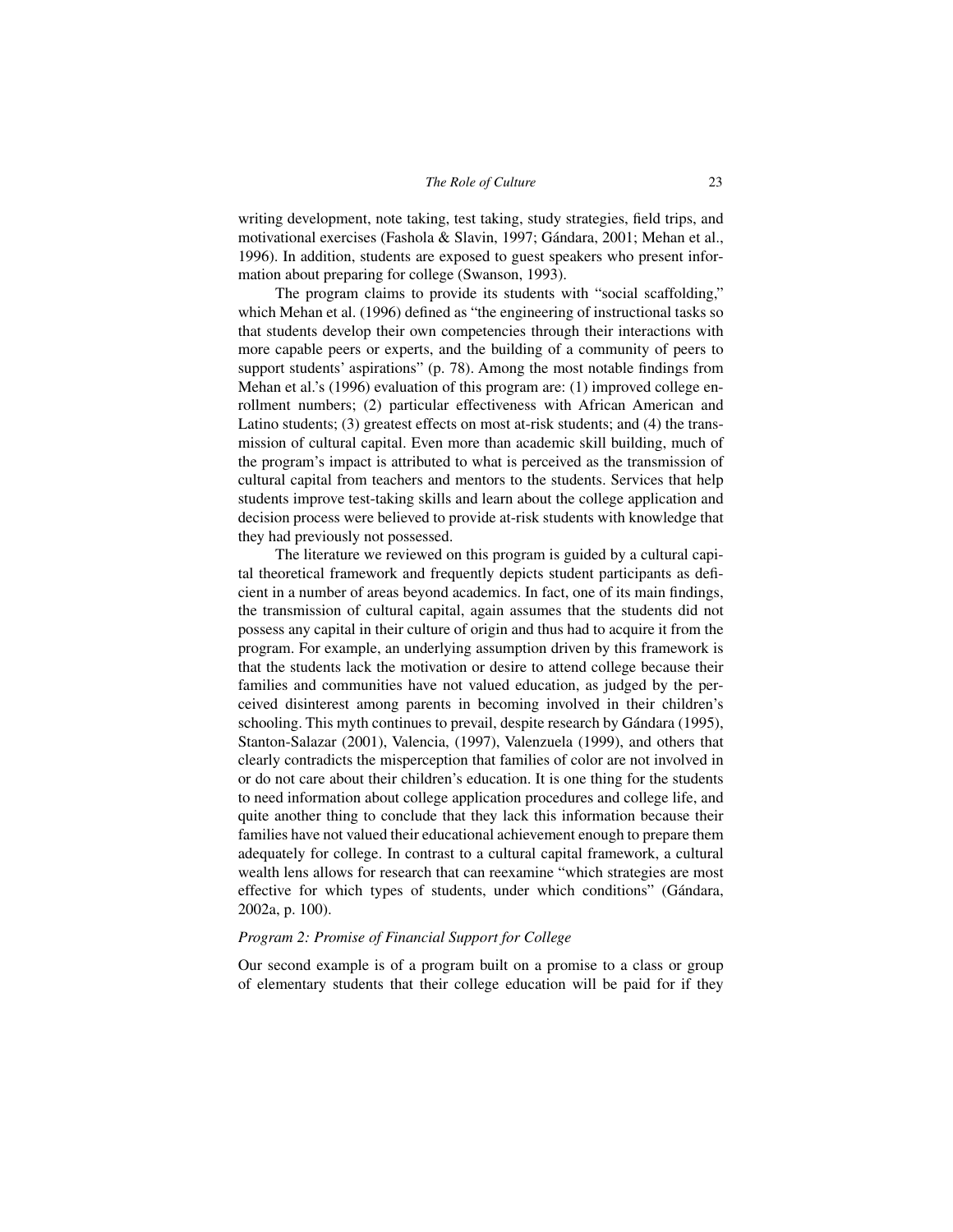writing development, note taking, test taking, study strategies, field trips, and motivational exercises (Fashola & Slavin, 1997; Gándara, 2001; Mehan et al., 1996). In addition, students are exposed to guest speakers who present information about preparing for college (Swanson, 1993).

The program claims to provide its students with "social scaffolding," which Mehan et al. (1996) defined as "the engineering of instructional tasks so that students develop their own competencies through their interactions with more capable peers or experts, and the building of a community of peers to support students' aspirations" (p. 78). Among the most notable findings from Mehan et al.'s (1996) evaluation of this program are: (1) improved college enrollment numbers; (2) particular effectiveness with African American and Latino students; (3) greatest effects on most at-risk students; and (4) the transmission of cultural capital. Even more than academic skill building, much of the program's impact is attributed to what is perceived as the transmission of cultural capital from teachers and mentors to the students. Services that help students improve test-taking skills and learn about the college application and decision process were believed to provide at-risk students with knowledge that they had previously not possessed.

The literature we reviewed on this program is guided by a cultural capital theoretical framework and frequently depicts student participants as deficient in a number of areas beyond academics. In fact, one of its main findings, the transmission of cultural capital, again assumes that the students did not possess any capital in their culture of origin and thus had to acquire it from the program. For example, an underlying assumption driven by this framework is that the students lack the motivation or desire to attend college because their families and communities have not valued education, as judged by the perceived disinterest among parents in becoming involved in their children's schooling. This myth continues to prevail, despite research by Gándara (1995), Stanton-Salazar (2001), Valencia, (1997), Valenzuela (1999), and others that clearly contradicts the misperception that families of color are not involved in or do not care about their children's education. It is one thing for the students to need information about college application procedures and college life, and quite another thing to conclude that they lack this information because their families have not valued their educational achievement enough to prepare them adequately for college. In contrast to a cultural capital framework, a cultural wealth lens allows for research that can reexamine "which strategies are most effective for which types of students, under which conditions" (Gándara, 2002a, p. 100).

## *Program 2: Promise of Financial Support for College*

Our second example is of a program built on a promise to a class or group of elementary students that their college education will be paid for if they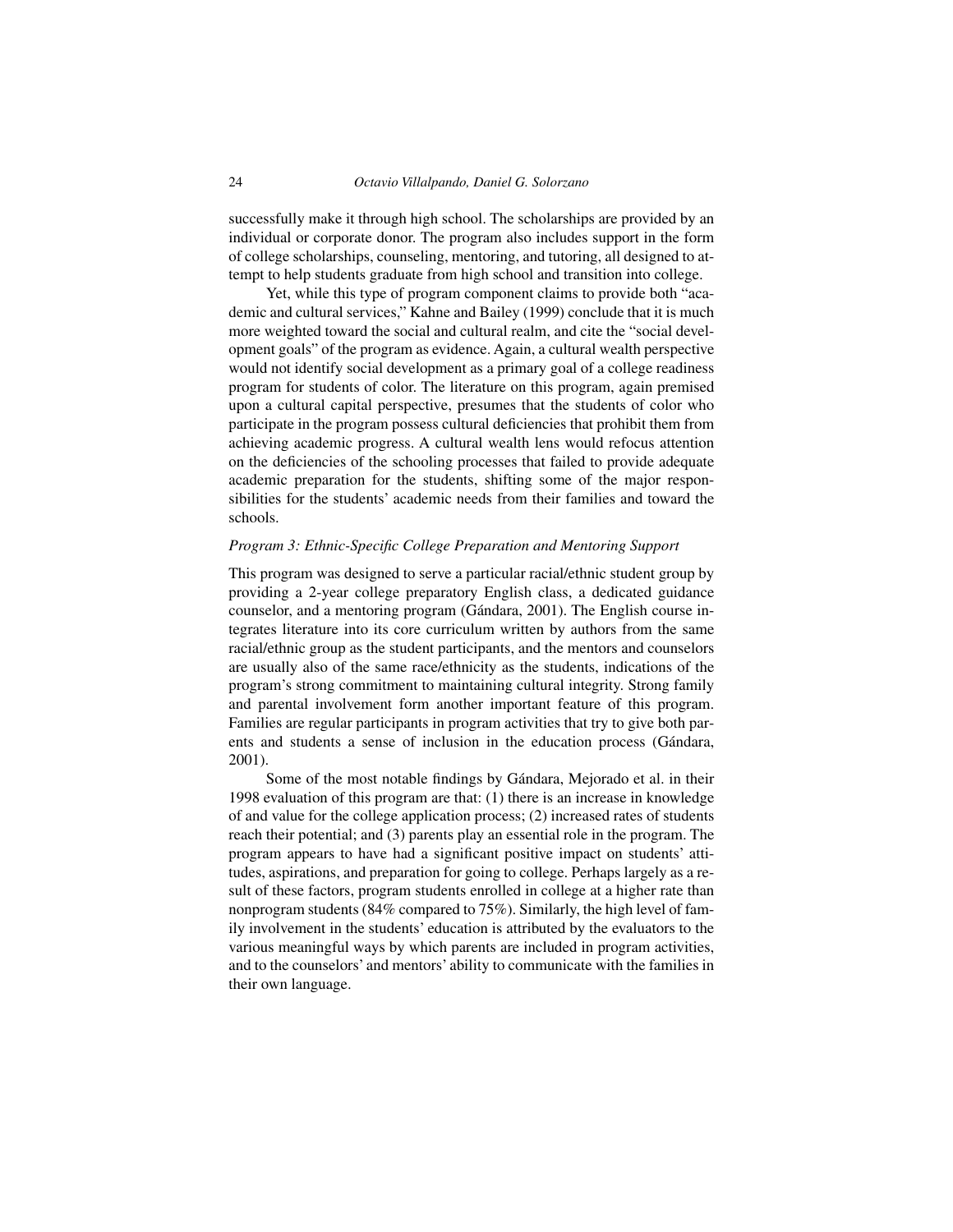successfully make it through high school. The scholarships are provided by an individual or corporate donor. The program also includes support in the form of college scholarships, counseling, mentoring, and tutoring, all designed to attempt to help students graduate from high school and transition into college.

Yet, while this type of program component claims to provide both "academic and cultural services," Kahne and Bailey (1999) conclude that it is much more weighted toward the social and cultural realm, and cite the "social development goals" of the program as evidence. Again, a cultural wealth perspective would not identify social development as a primary goal of a college readiness program for students of color. The literature on this program, again premised upon a cultural capital perspective, presumes that the students of color who participate in the program possess cultural deficiencies that prohibit them from achieving academic progress. A cultural wealth lens would refocus attention on the deficiencies of the schooling processes that failed to provide adequate academic preparation for the students, shifting some of the major responsibilities for the students' academic needs from their families and toward the schools.

#### *Program 3: Ethnic-Specific College Preparation and Mentoring Support*

This program was designed to serve a particular racial/ethnic student group by providing a 2-year college preparatory English class, a dedicated guidance counselor, and a mentoring program (Gándara, 2001). The English course integrates literature into its core curriculum written by authors from the same racial/ethnic group as the student participants, and the mentors and counselors are usually also of the same race/ethnicity as the students, indications of the program's strong commitment to maintaining cultural integrity. Strong family and parental involvement form another important feature of this program. Families are regular participants in program activities that try to give both parents and students a sense of inclusion in the education process (Gándara, 2001).

Some of the most notable findings by Gándara, Mejorado et al. in their 1998 evaluation of this program are that: (1) there is an increase in knowledge of and value for the college application process; (2) increased rates of students reach their potential; and (3) parents play an essential role in the program. The program appears to have had a significant positive impact on students' attitudes, aspirations, and preparation for going to college. Perhaps largely as a result of these factors, program students enrolled in college at a higher rate than nonprogram students (84% compared to 75%). Similarly, the high level of family involvement in the students' education is attributed by the evaluators to the various meaningful ways by which parents are included in program activities, and to the counselors' and mentors' ability to communicate with the families in their own language.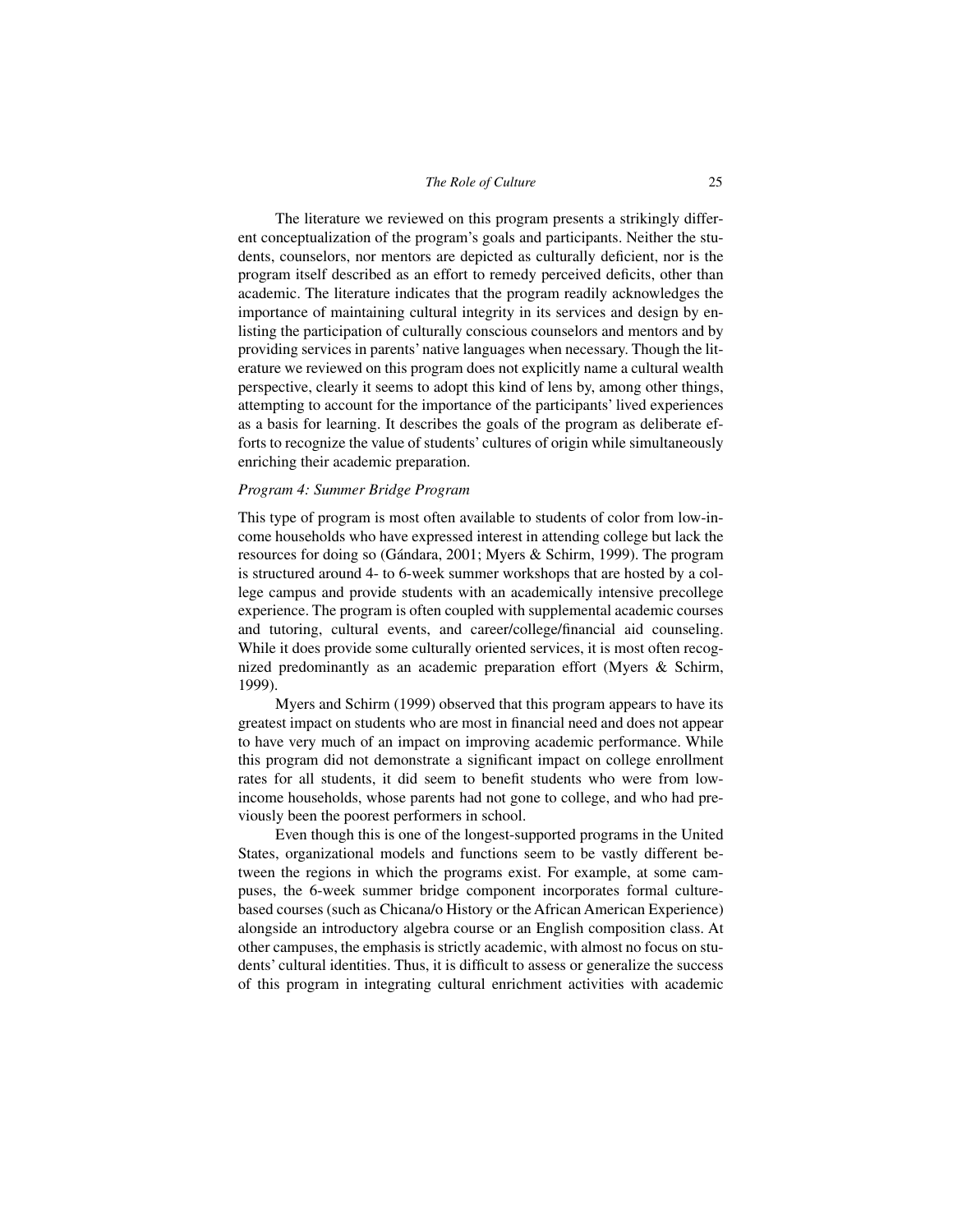The literature we reviewed on this program presents a strikingly different conceptualization of the program's goals and participants. Neither the students, counselors, nor mentors are depicted as culturally deficient, nor is the program itself described as an effort to remedy perceived deficits, other than academic. The literature indicates that the program readily acknowledges the importance of maintaining cultural integrity in its services and design by enlisting the participation of culturally conscious counselors and mentors and by providing services in parents' native languages when necessary. Though the literature we reviewed on this program does not explicitly name a cultural wealth perspective, clearly it seems to adopt this kind of lens by, among other things, attempting to account for the importance of the participants' lived experiences as a basis for learning. It describes the goals of the program as deliberate efforts to recognize the value of students' cultures of origin while simultaneously enriching their academic preparation.

#### *Program 4: Summer Bridge Program*

This type of program is most often available to students of color from low-income households who have expressed interest in attending college but lack the resources for doing so (Gándara, 2001; Myers & Schirm, 1999). The program is structured around 4- to 6-week summer workshops that are hosted by a college campus and provide students with an academically intensive precollege experience. The program is often coupled with supplemental academic courses and tutoring, cultural events, and career/college/financial aid counseling. While it does provide some culturally oriented services, it is most often recognized predominantly as an academic preparation effort (Myers & Schirm, 1999).

Myers and Schirm (1999) observed that this program appears to have its greatest impact on students who are most in financial need and does not appear to have very much of an impact on improving academic performance. While this program did not demonstrate a significant impact on college enrollment rates for all students, it did seem to benefit students who were from lowincome households, whose parents had not gone to college, and who had previously been the poorest performers in school.

Even though this is one of the longest-supported programs in the United States, organizational models and functions seem to be vastly different between the regions in which the programs exist. For example, at some campuses, the 6-week summer bridge component incorporates formal culturebased courses (such as Chicana/o History or the African American Experience) alongside an introductory algebra course or an English composition class. At other campuses, the emphasis is strictly academic, with almost no focus on students' cultural identities. Thus, it is difficult to assess or generalize the success of this program in integrating cultural enrichment activities with academic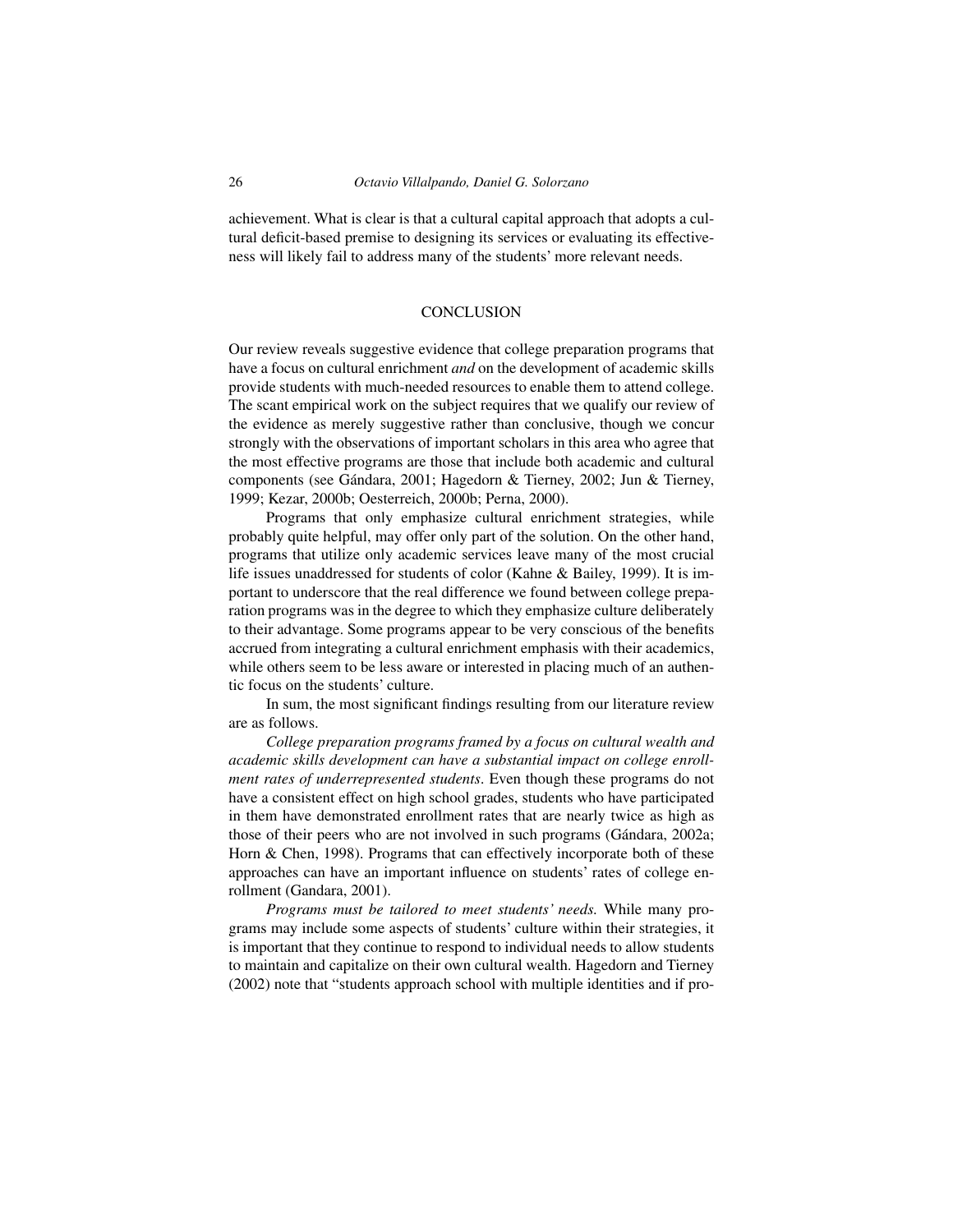achievement. What is clear is that a cultural capital approach that adopts a cultural deficit-based premise to designing its services or evaluating its effectiveness will likely fail to address many of the students' more relevant needs.

#### **CONCLUSION**

Our review reveals suggestive evidence that college preparation programs that have a focus on cultural enrichment *and* on the development of academic skills provide students with much-needed resources to enable them to attend college. The scant empirical work on the subject requires that we qualify our review of the evidence as merely suggestive rather than conclusive, though we concur strongly with the observations of important scholars in this area who agree that the most effective programs are those that include both academic and cultural components (see Gándara, 2001; Hagedorn & Tierney, 2002; Jun & Tierney, 1999; Kezar, 2000b; Oesterreich, 2000b; Perna, 2000).

Programs that only emphasize cultural enrichment strategies, while probably quite helpful, may offer only part of the solution. On the other hand, programs that utilize only academic services leave many of the most crucial life issues unaddressed for students of color (Kahne & Bailey, 1999). It is important to underscore that the real difference we found between college preparation programs was in the degree to which they emphasize culture deliberately to their advantage. Some programs appear to be very conscious of the benefits accrued from integrating a cultural enrichment emphasis with their academics, while others seem to be less aware or interested in placing much of an authentic focus on the students' culture.

In sum, the most significant findings resulting from our literature review are as follows.

*College preparation programs framed by a focus on cultural wealth and academic skills development can have a substantial impact on college enrollment rates of underrepresented students*. Even though these programs do not have a consistent effect on high school grades, students who have participated in them have demonstrated enrollment rates that are nearly twice as high as those of their peers who are not involved in such programs (Gándara, 2002a; Horn & Chen, 1998). Programs that can effectively incorporate both of these approaches can have an important influence on students' rates of college enrollment (Gandara, 2001).

*Programs must be tailored to meet students' needs.* While many programs may include some aspects of students' culture within their strategies, it is important that they continue to respond to individual needs to allow students to maintain and capitalize on their own cultural wealth. Hagedorn and Tierney (2002) note that "students approach school with multiple identities and if pro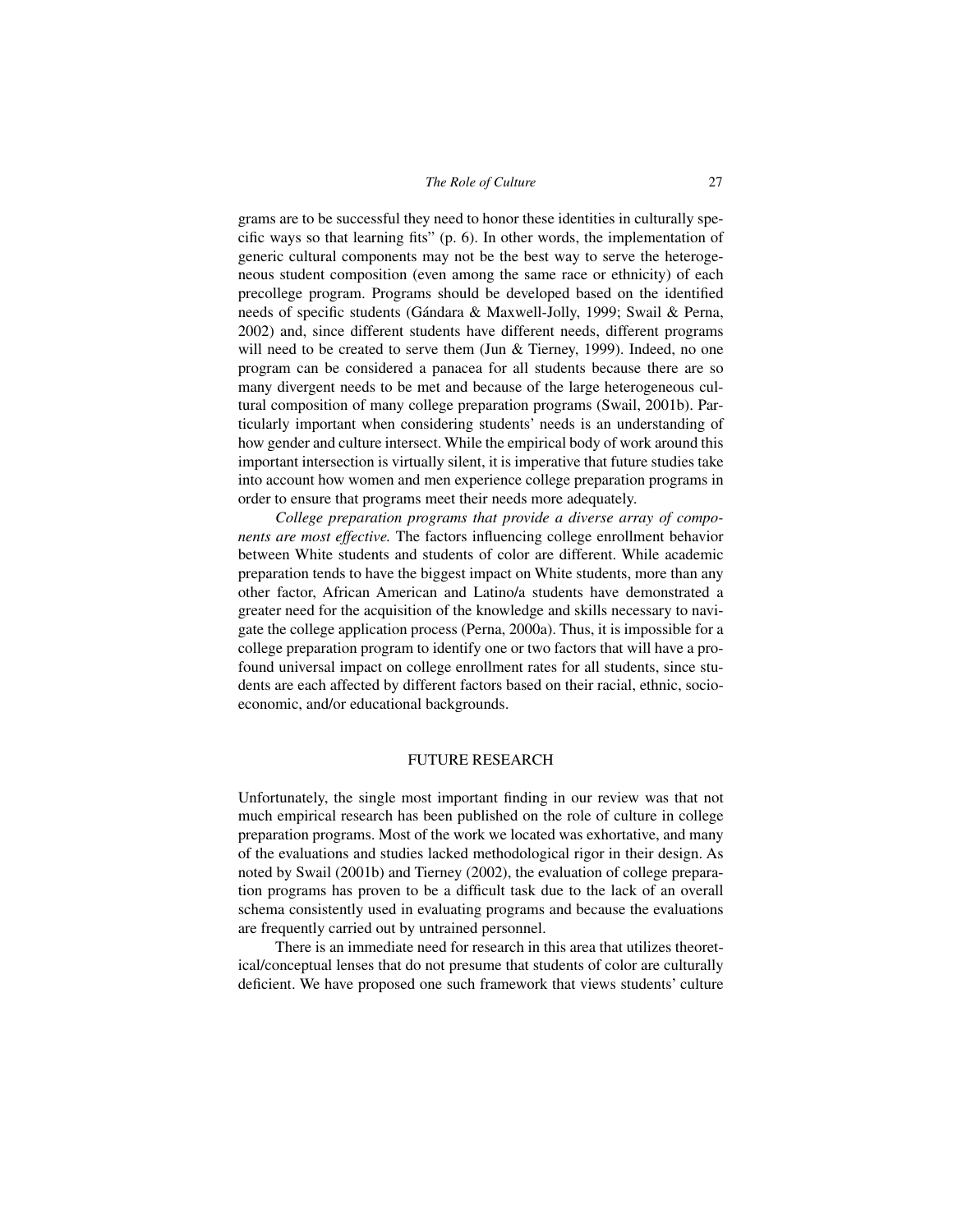grams are to be successful they need to honor these identities in culturally specific ways so that learning fits" (p. 6). In other words, the implementation of generic cultural components may not be the best way to serve the heterogeneous student composition (even among the same race or ethnicity) of each precollege program. Programs should be developed based on the identified needs of specific students (Gándara & Maxwell-Jolly, 1999; Swail & Perna, 2002) and, since different students have different needs, different programs will need to be created to serve them (Jun & Tierney, 1999). Indeed, no one program can be considered a panacea for all students because there are so many divergent needs to be met and because of the large heterogeneous cultural composition of many college preparation programs (Swail, 2001b). Particularly important when considering students' needs is an understanding of how gender and culture intersect. While the empirical body of work around this important intersection is virtually silent, it is imperative that future studies take into account how women and men experience college preparation programs in order to ensure that programs meet their needs more adequately.

*College preparation programs that provide a diverse array of components are most effective.* The factors influencing college enrollment behavior between White students and students of color are different. While academic preparation tends to have the biggest impact on White students, more than any other factor, African American and Latino/a students have demonstrated a greater need for the acquisition of the knowledge and skills necessary to navigate the college application process (Perna, 2000a). Thus, it is impossible for a college preparation program to identify one or two factors that will have a profound universal impact on college enrollment rates for all students, since students are each affected by different factors based on their racial, ethnic, socioeconomic, and/or educational backgrounds.

#### FUTURE RESEARCH

Unfortunately, the single most important finding in our review was that not much empirical research has been published on the role of culture in college preparation programs. Most of the work we located was exhortative, and many of the evaluations and studies lacked methodological rigor in their design. As noted by Swail (2001b) and Tierney (2002), the evaluation of college preparation programs has proven to be a difficult task due to the lack of an overall schema consistently used in evaluating programs and because the evaluations are frequently carried out by untrained personnel.

There is an immediate need for research in this area that utilizes theoretical/conceptual lenses that do not presume that students of color are culturally deficient. We have proposed one such framework that views students' culture